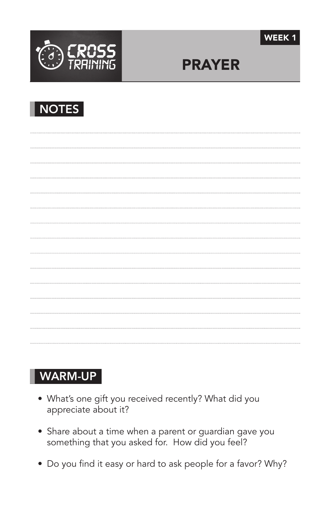



# PRAYER

| <b>NOTI</b> |
|-------------|
|-------------|

### WARM-UP

- What's one gift you received recently? What did you appreciate about it?
- Share about a time when a parent or guardian gave you something that you asked for. How did you feel?
- Do you find it easy or hard to ask people for a favor? Why?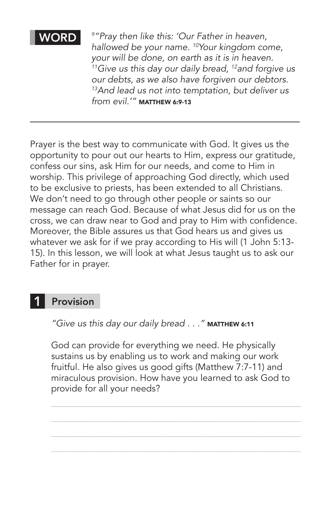#### WORD

*9 "Pray then like this: 'Our Father in heaven, hallowed be your name. 10Your kingdom come, your will be done, on earth as it is in heaven. 11Give us this day our daily bread, 12and forgive us our debts, as we also have forgiven our debtors. 13And lead us not into temptation, but deliver us*  from evil.'" MATTHEW 6:9-13

Prayer is the best way to communicate with God. It gives us the opportunity to pour out our hearts to Him, express our gratitude, confess our sins, ask Him for our needs, and come to Him in worship. This privilege of approaching God directly, which used to be exclusive to priests, has been extended to all Christians. We don't need to go through other people or saints so our message can reach God. Because of what Jesus did for us on the cross, we can draw near to God and pray to Him with confidence. Moreover, the Bible assures us that God hears us and gives us whatever we ask for if we pray according to His will (1 John 5:13- 15). In this lesson, we will look at what Jesus taught us to ask our Father for in prayer.

#### Provision 1

"Give us this day our daily bread . . . " MATTHEW 6:11

God can provide for everything we need. He physically sustains us by enabling us to work and making our work fruitful. He also gives us good gifts (Matthew 7:7-11) and miraculous provision. How have you learned to ask God to provide for all your needs?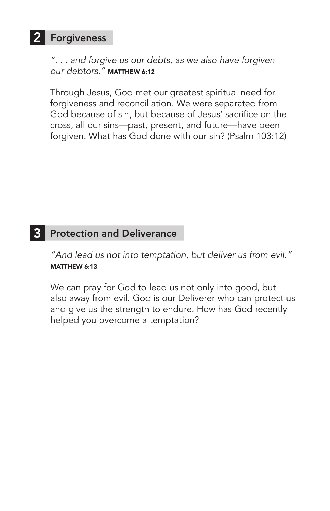## 2 Forgiveness

*". . . and forgive us our debts, as we also have forgiven our debtors."* Matthew 6:12

Through Jesus, God met our greatest spiritual need for forgiveness and reconciliation. We were separated from God because of sin, but because of Jesus' sacrifice on the cross, all our sins—past, present, and future—have been forgiven. What has God done with our sin? (Psalm 103:12)

## 3 Protection and Deliverance

*"And lead us not into temptation, but deliver us from evil."*  MATTHEW 6:13

We can pray for God to lead us not only into good, but also away from evil. God is our Deliverer who can protect us and give us the strength to endure. How has God recently helped you overcome a temptation?